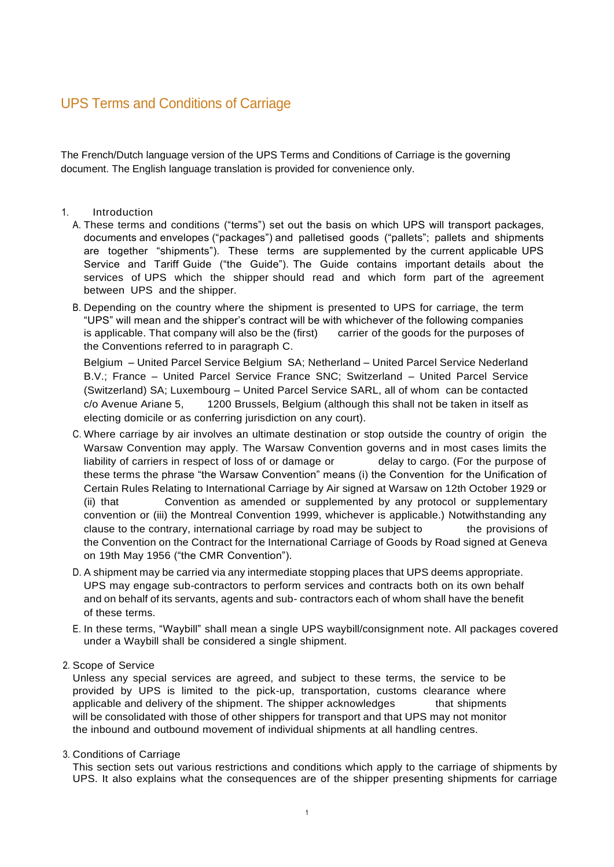# UPS Terms and Conditions of Carriage

The French/Dutch language version of the UPS Terms and Conditions of Carriage is the governing document. The English language translation is provided for convenience only.

#### 1. Introduction

- A. These terms and conditions ("terms") set out the basis on which UPS will transport packages, documents and envelopes ("packages") and palletised goods ("pallets"; pallets and shipments are together "shipments"). These terms are supplemented by the current applicable UPS Service and Tariff Guide ("the Guide"). The Guide contains important details about the services of UPS which the shipper should read and which form part of the agreement between UPS and the shipper.
- B. Depending on the country where the shipment is presented to UPS for carriage, the term "UPS" will mean and the shipper's contract will be with whichever of the following companies is applicable. That company will also be the (first) carrier of the goods for the purposes of the Conventions referred to in paragraph C.

Belgium – United Parcel Service Belgium SA; Netherland – United Parcel Service Nederland B.V.; France – United Parcel Service France SNC; Switzerland – United Parcel Service (Switzerland) SA; Luxembourg – United Parcel Service SARL, all of whom can be contacted c/o Avenue Ariane 5, 1200 Brussels, Belgium (although this shall not be taken in itself as electing domicile or as conferring jurisdiction on any court).

- C. Where carriage by air involves an ultimate destination or stop outside the country of origin the Warsaw Convention may apply. The Warsaw Convention governs and in most cases limits the liability of carriers in respect of loss of or damage or delay to cargo. (For the purpose of these terms the phrase "the Warsaw Convention" means (i) the Convention for the Unification of Certain Rules Relating to International Carriage by Air signed at Warsaw on 12th October 1929 or (ii) that Convention as amended or supplemented by any protocol or supplementary convention or (iii) the Montreal Convention 1999, whichever is applicable.) Notwithstanding any clause to the contrary, international carriage by road may be subject to the provisions of the Convention on the Contract for the International Carriage of Goods by Road signed at Geneva on 19th May 1956 ("the CMR Convention").
- D. A shipment may be carried via any intermediate stopping places that UPS deems appropriate. UPS may engage sub-contractors to perform services and contracts both on its own behalf and on behalf of its servants, agents and sub- contractors each of whom shall have the benefit of these terms.
- E. In these terms, "Waybill" shall mean a single UPS waybill/consignment note. All packages covered under a Waybill shall be considered a single shipment.
- 2. Scope of Service

Unless any special services are agreed, and subject to these terms, the service to be provided by UPS is limited to the pick-up, transportation, customs clearance where applicable and delivery of the shipment. The shipper acknowledges that shipments will be consolidated with those of other shippers for transport and that UPS may not monitor the inbound and outbound movement of individual shipments at all handling centres.

3. Conditions of Carriage

This section sets out various restrictions and conditions which apply to the carriage of shipments by UPS. It also explains what the consequences are of the shipper presenting shipments for carriage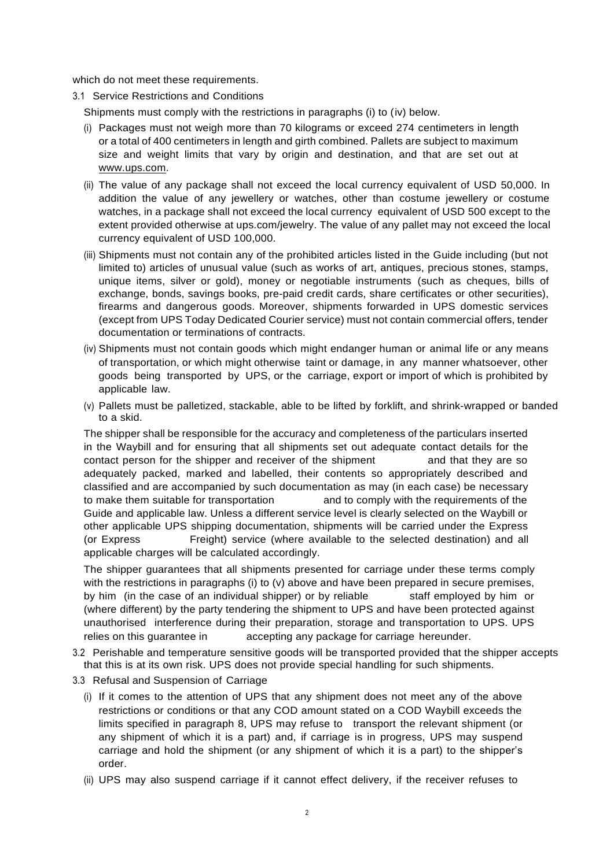which do not meet these requirements.

3.1 Service Restrictions and Conditions

Shipments must comply with the restrictions in paragraphs (i) to (iv) below.

- (i) Packages must not weigh more than 70 kilograms or exceed 274 centimeters in length or a total of 400 centimeters in length and girth combined. Pallets are subject to maximum size and weight limits that vary by origin and destination, and that are set out at [www.ups.com.](http://www.ups.com/)
- (ii) The value of any package shall not exceed the local currency equivalent of USD 50,000. In addition the value of any jewellery or watches, other than costume jewellery or costume watches, in a package shall not exceed the local currency equivalent of USD 500 except to the extent provided otherwise at ups.com/jewelry. The value of any pallet may not exceed the local currency equivalent of USD 100,000.
- (iii) Shipments must not contain any of the prohibited articles listed in the Guide including (but not limited to) articles of unusual value (such as works of art, antiques, precious stones, stamps, unique items, silver or gold), money or negotiable instruments (such as cheques, bills of exchange, bonds, savings books, pre-paid credit cards, share certificates or other securities), firearms and dangerous goods. Moreover, shipments forwarded in UPS domestic services (except from UPS Today Dedicated Courier service) must not contain commercial offers, tender documentation or terminations of contracts.
- (iv) Shipments must not contain goods which might endanger human or animal life or any means of transportation, or which might otherwise taint or damage, in any manner whatsoever, other goods being transported by UPS, or the carriage, export or import of which is prohibited by applicable law.
- (v) Pallets must be palletized, stackable, able to be lifted by forklift, and shrink-wrapped or banded to a skid.

The shipper shall be responsible for the accuracy and completeness of the particulars inserted in the Waybill and for ensuring that all shipments set out adequate contact details for the contact person for the shipper and receiver of the shipment and that they are so adequately packed, marked and labelled, their contents so appropriately described and classified and are accompanied by such documentation as may (in each case) be necessary to make them suitable for transportation and to comply with the requirements of the Guide and applicable law. Unless a different service level is clearly selected on the Waybill or other applicable UPS shipping documentation, shipments will be carried under the Express (or Express Freight) service (where available to the selected destination) and all applicable charges will be calculated accordingly.

The shipper guarantees that all shipments presented for carriage under these terms comply with the restrictions in paragraphs (i) to (v) above and have been prepared in secure premises, by him (in the case of an individual shipper) or by reliable staff employed by him or (where different) by the party tendering the shipment to UPS and have been protected against unauthorised interference during their preparation, storage and transportation to UPS. UPS relies on this guarantee in accepting any package for carriage hereunder.

- 3.2 Perishable and temperature sensitive goods will be transported provided that the shipper accepts that this is at its own risk. UPS does not provide special handling for such shipments.
- 3.3 Refusal and Suspension of Carriage
	- (i) If it comes to the attention of UPS that any shipment does not meet any of the above restrictions or conditions or that any COD amount stated on a COD Waybill exceeds the limits specified in paragraph 8, UPS may refuse to transport the relevant shipment (or any shipment of which it is a part) and, if carriage is in progress, UPS may suspend carriage and hold the shipment (or any shipment of which it is a part) to the shipper's order.
	- (ii) UPS may also suspend carriage if it cannot effect delivery, if the receiver refuses to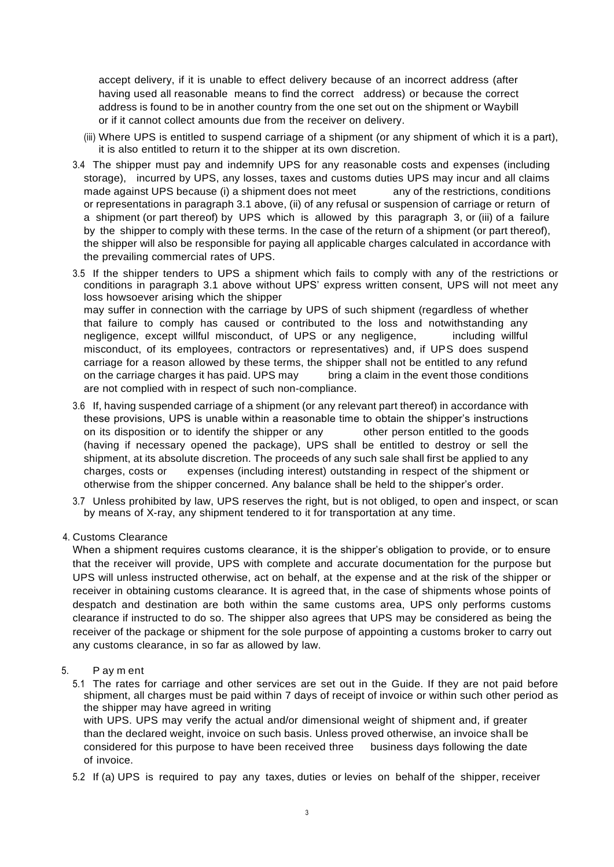accept delivery, if it is unable to effect delivery because of an incorrect address (after having used all reasonable means to find the correct address) or because the correct address is found to be in another country from the one set out on the shipment or Waybill or if it cannot collect amounts due from the receiver on delivery.

- (iii) Where UPS is entitled to suspend carriage of a shipment (or any shipment of which it is a part), it is also entitled to return it to the shipper at its own discretion.
- 3.4 The shipper must pay and indemnify UPS for any reasonable costs and expenses (including storage), incurred by UPS, any losses, taxes and customs duties UPS may incur and all claims made against UPS because (i) a shipment does not meet any of the restrictions, conditions or representations in paragraph 3.1 above, (ii) of any refusal or suspension of carriage or return of a shipment (or part thereof) by UPS which is allowed by this paragraph 3, or (iii) of a failure by the shipper to comply with these terms. In the case of the return of a shipment (or part thereof), the shipper will also be responsible for paying all applicable charges calculated in accordance with the prevailing commercial rates of UPS.
- 3.5 If the shipper tenders to UPS a shipment which fails to comply with any of the restrictions or conditions in paragraph 3.1 above without UPS' express written consent, UPS will not meet any loss howsoever arising which the shipper may suffer in connection with the carriage by UPS of such shipment (regardless of whether that failure to comply has caused or contributed to the loss and notwithstanding any negligence, except willful misconduct, of UPS or any negligence, including willful misconduct, of its employees, contractors or representatives) and, if UPS does suspend carriage for a reason allowed by these terms, the shipper shall not be entitled to any refund on the carriage charges it has paid. UPS may bring a claim in the event those conditions are not complied with in respect of such non-compliance.
- 3.6 If, having suspended carriage of a shipment (or any relevant part thereof) in accordance with these provisions, UPS is unable within a reasonable time to obtain the shipper's instructions on its disposition or to identify the shipper or any other person entitled to the goods (having if necessary opened the package), UPS shall be entitled to destroy or sell the shipment, at its absolute discretion. The proceeds of any such sale shall first be applied to any charges, costs or expenses (including interest) outstanding in respect of the shipment or otherwise from the shipper concerned. Any balance shall be held to the shipper's order.
- 3.7 Unless prohibited by law, UPS reserves the right, but is not obliged, to open and inspect, or scan by means of X-ray, any shipment tendered to it for transportation at any time.
- 4. Customs Clearance

When a shipment requires customs clearance, it is the shipper's obligation to provide, or to ensure that the receiver will provide, UPS with complete and accurate documentation for the purpose but UPS will unless instructed otherwise, act on behalf, at the expense and at the risk of the shipper or receiver in obtaining customs clearance. It is agreed that, in the case of shipments whose points of despatch and destination are both within the same customs area, UPS only performs customs clearance if instructed to do so. The shipper also agrees that UPS may be considered as being the receiver of the package or shipment for the sole purpose of appointing a customs broker to carry out any customs clearance, in so far as allowed by law.

# 5. P ay m ent

5.1 The rates for carriage and other services are set out in the Guide. If they are not paid before shipment, all charges must be paid within 7 days of receipt of invoice or within such other period as the shipper may have agreed in writing with UPS. UPS may verify the actual and/or dimensional weight of shipment and, if greater

than the declared weight, invoice on such basis. Unless proved otherwise, an invoice shall be considered for this purpose to have been received three business days following the date of invoice.

5.2 If (a) UPS is required to pay any taxes, duties or levies on behalf of the shipper, receiver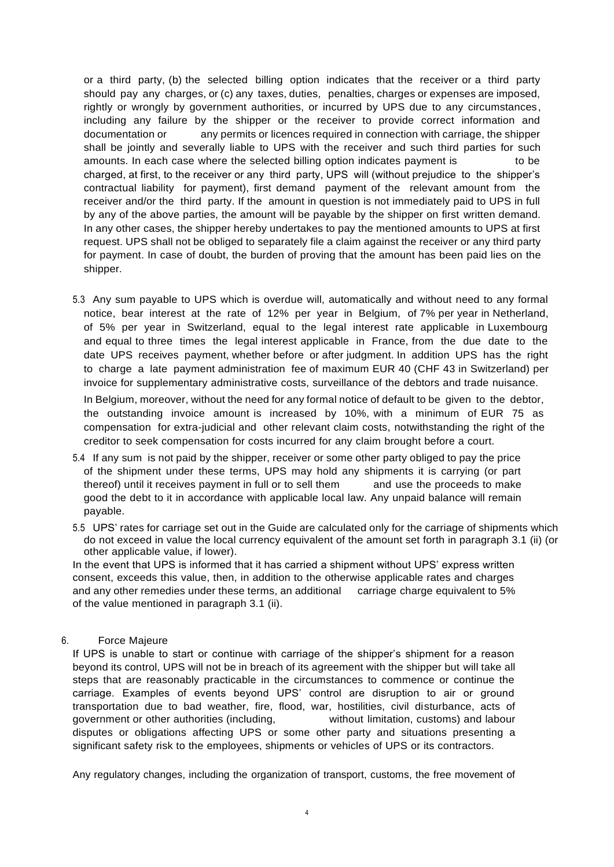or a third party, (b) the selected billing option indicates that the receiver or a third party should pay any charges, or (c) any taxes, duties, penalties, charges or expenses are imposed, rightly or wrongly by government authorities, or incurred by UPS due to any circumstances, including any failure by the shipper or the receiver to provide correct information and documentation or any permits or licences required in connection with carriage, the shipper shall be jointly and severally liable to UPS with the receiver and such third parties for such amounts. In each case where the selected billing option indicates payment is to be charged, at first, to the receiver or any third party, UPS will (without prejudice to the shipper's contractual liability for payment), first demand payment of the relevant amount from the receiver and/or the third party. If the amount in question is not immediately paid to UPS in full by any of the above parties, the amount will be payable by the shipper on first written demand. In any other cases, the shipper hereby undertakes to pay the mentioned amounts to UPS at first request. UPS shall not be obliged to separately file a claim against the receiver or any third party for payment. In case of doubt, the burden of proving that the amount has been paid lies on the shipper.

5.3 Any sum payable to UPS which is overdue will, automatically and without need to any formal notice, bear interest at the rate of 12% per year in Belgium, of 7% per year in Netherland, of 5% per year in Switzerland, equal to the legal interest rate applicable in Luxembourg and equal to three times the legal interest applicable in France, from the due date to the date UPS receives payment, whether before or after judgment. In addition UPS has the right to charge a late payment administration fee of maximum EUR 40 (CHF 43 in Switzerland) per invoice for supplementary administrative costs, surveillance of the debtors and trade nuisance.

In Belgium, moreover, without the need for any formal notice of default to be given to the debtor, the outstanding invoice amount is increased by 10%, with a minimum of EUR 75 as compensation for extra-judicial and other relevant claim costs, notwithstanding the right of the creditor to seek compensation for costs incurred for any claim brought before a court.

- 5.4 If any sum is not paid by the shipper, receiver or some other party obliged to pay the price of the shipment under these terms, UPS may hold any shipments it is carrying (or part thereof) until it receives payment in full or to sell them and use the proceeds to make good the debt to it in accordance with applicable local law. Any unpaid balance will remain payable.
- 5.5 UPS' rates for carriage set out in the Guide are calculated only for the carriage of shipments which do not exceed in value the local currency equivalent of the amount set forth in paragraph 3.1 (ii) (or other applicable value, if lower).

In the event that UPS is informed that it has carried a shipment without UPS' express written consent, exceeds this value, then, in addition to the otherwise applicable rates and charges and any other remedies under these terms, an additional carriage charge equivalent to 5% of the value mentioned in paragraph 3.1 (ii).

# 6. Force Majeure

If UPS is unable to start or continue with carriage of the shipper's shipment for a reason beyond its control, UPS will not be in breach of its agreement with the shipper but will take all steps that are reasonably practicable in the circumstances to commence or continue the carriage. Examples of events beyond UPS' control are disruption to air or ground transportation due to bad weather, fire, flood, war, hostilities, civil disturbance, acts of government or other authorities (including, without limitation, customs) and labour disputes or obligations affecting UPS or some other party and situations presenting a significant safety risk to the employees, shipments or vehicles of UPS or its contractors.

Any regulatory changes, including the organization of transport, customs, the free movement of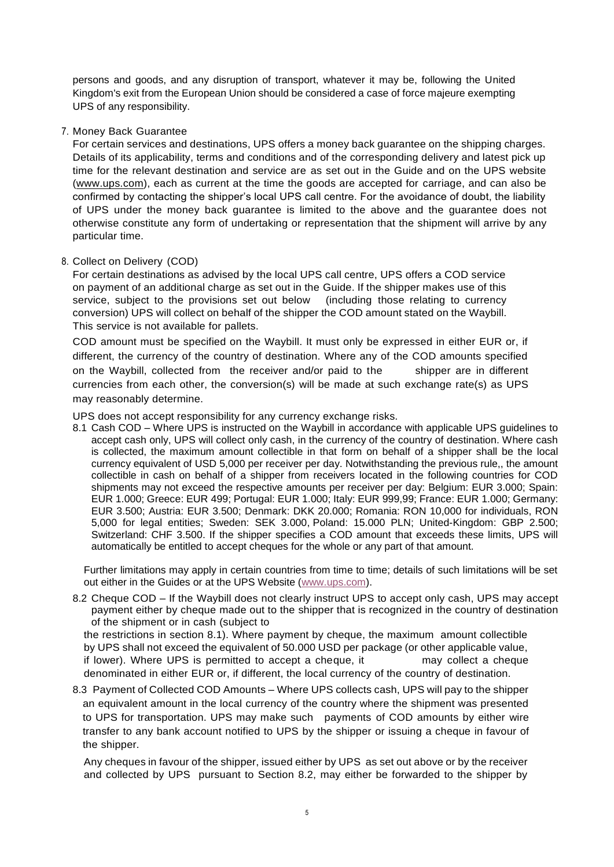persons and goods, and any disruption of transport, whatever it may be, following the United Kingdom's exit from the European Union should be considered a case of force majeure exempting UPS of any responsibility.

#### 7. Money Back Guarantee

For certain services and destinations, UPS offers a money back guarantee on the shipping charges. Details of its applicability, terms and conditions and of the corresponding delivery and latest pick up time for the relevant destination and service are as set out in the Guide and on the UPS website (www.ups.com), each as current at the time the goods are accepted for carriage, and can also be confirmed by contacting the shipper's local UPS call centre. For the avoidance of doubt, the liability of UPS under the money back guarantee is limited to the above and the guarantee does not otherwise constitute any form of undertaking or representation that the shipment will arrive by any particular time.

# 8. Collect on Delivery (COD)

For certain destinations as advised by the local UPS call centre, UPS offers a COD service on payment of an additional charge as set out in the Guide. If the shipper makes use of this service, subject to the provisions set out below (including those relating to currency conversion) UPS will collect on behalf of the shipper the COD amount stated on the Waybill. This service is not available for pallets.

COD amount must be specified on the Waybill. It must only be expressed in either EUR or, if different, the currency of the country of destination. Where any of the COD amounts specified on the Waybill, collected from the receiver and/or paid to the shipper are in different currencies from each other, the conversion(s) will be made at such exchange rate(s) as UPS may reasonably determine.

UPS does not accept responsibility for any currency exchange risks.

8.1 Cash COD – Where UPS is instructed on the Waybill in accordance with applicable UPS guidelines to accept cash only, UPS will collect only cash, in the currency of the country of destination. Where cash is collected, the maximum amount collectible in that form on behalf of a shipper shall be the local currency equivalent of USD 5,000 per receiver per day. Notwithstanding the previous rule,, the amount collectible in cash on behalf of a shipper from receivers located in the following countries for COD shipments may not exceed the respective amounts per receiver per day: Belgium: EUR 3.000; Spain: EUR 1.000; Greece: EUR 499; Portugal: EUR 1.000; Italy: EUR 999,99; France: EUR 1.000; Germany: EUR 3.500; Austria: EUR 3.500; Denmark: DKK 20.000; Romania: RON 10,000 for individuals, RON 5,000 for legal entities; Sweden: SEK 3.000, Poland: 15.000 PLN; United-Kingdom: GBP 2.500; Switzerland: CHF 3.500. If the shipper specifies a COD amount that exceeds these limits, UPS will automatically be entitled to accept cheques for the whole or any part of that amount.

Further limitations may apply in certain countries from time to time; details of such limitations will be set out either in the Guides or at the UPS Website [\(www.ups.com\)](http://www.ups.com/).

8.2 Cheque COD – If the Waybill does not clearly instruct UPS to accept only cash, UPS may accept payment either by cheque made out to the shipper that is recognized in the country of destination of the shipment or in cash (subject to

the restrictions in section 8.1). Where payment by cheque, the maximum amount collectible by UPS shall not exceed the equivalent of 50.000 USD per package (or other applicable value, if lower). Where UPS is permitted to accept a cheque, it may collect a cheque denominated in either EUR or, if different, the local currency of the country of destination.

8.3 Payment of Collected COD Amounts – Where UPS collects cash, UPS will pay to the shipper an equivalent amount in the local currency of the country where the shipment was presented to UPS for transportation. UPS may make such payments of COD amounts by either wire transfer to any bank account notified to UPS by the shipper or issuing a cheque in favour of the shipper.

Any cheques in favour of the shipper, issued either by UPS as set out above or by the receiver and collected by UPS pursuant to Section 8.2, may either be forwarded to the shipper by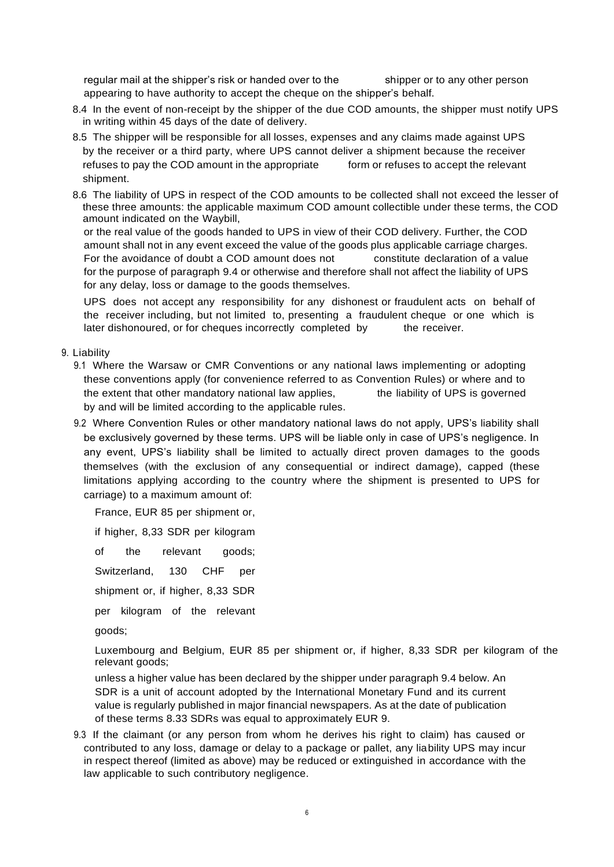regular mail at the shipper's risk or handed over to the shipper or to any other person appearing to have authority to accept the cheque on the shipper's behalf.

- 8.4 In the event of non-receipt by the shipper of the due COD amounts, the shipper must notify UPS in writing within 45 days of the date of delivery.
- 8.5 The shipper will be responsible for all losses, expenses and any claims made against UPS by the receiver or a third party, where UPS cannot deliver a shipment because the receiver refuses to pay the COD amount in the appropriate form or refuses to accept the relevant shipment.
- 8.6 The liability of UPS in respect of the COD amounts to be collected shall not exceed the lesser of these three amounts: the applicable maximum COD amount collectible under these terms, the COD amount indicated on the Waybill,

or the real value of the goods handed to UPS in view of their COD delivery. Further, the COD amount shall not in any event exceed the value of the goods plus applicable carriage charges. For the avoidance of doubt a COD amount does not constitute declaration of a value for the purpose of paragraph 9.4 or otherwise and therefore shall not affect the liability of UPS for any delay, loss or damage to the goods themselves.

UPS does not accept any responsibility for any dishonest or fraudulent acts on behalf of the receiver including, but not limited to, presenting a fraudulent cheque or one which is later dishonoured, or for cheques incorrectly completed by the receiver.

# 9. Liability

- 9.1 Where the Warsaw or CMR Conventions or any national laws implementing or adopting these conventions apply (for convenience referred to as Convention Rules) or where and to the extent that other mandatory national law applies, the liability of UPS is governed by and will be limited according to the applicable rules.
- 9.2 Where Convention Rules or other mandatory national laws do not apply, UPS's liability shall be exclusively governed by these terms. UPS will be liable only in case of UPS's negligence. In any event, UPS's liability shall be limited to actually direct proven damages to the goods themselves (with the exclusion of any consequential or indirect damage), capped (these limitations applying according to the country where the shipment is presented to UPS for carriage) to a maximum amount of:

France, EUR 85 per shipment or,

if higher, 8,33 SDR per kilogram

of the relevant goods;

Switzerland, 130 CHF per

shipment or, if higher, 8,33 SDR

per kilogram of the relevant

goods;

Luxembourg and Belgium, EUR 85 per shipment or, if higher, 8,33 SDR per kilogram of the relevant goods;

unless a higher value has been declared by the shipper under paragraph 9.4 below. An SDR is a unit of account adopted by the International Monetary Fund and its current value is regularly published in major financial newspapers. As at the date of publication of these terms 8.33 SDRs was equal to approximately EUR 9.

9.3 If the claimant (or any person from whom he derives his right to claim) has caused or contributed to any loss, damage or delay to a package or pallet, any liability UPS may incur in respect thereof (limited as above) may be reduced or extinguished in accordance with the law applicable to such contributory negligence.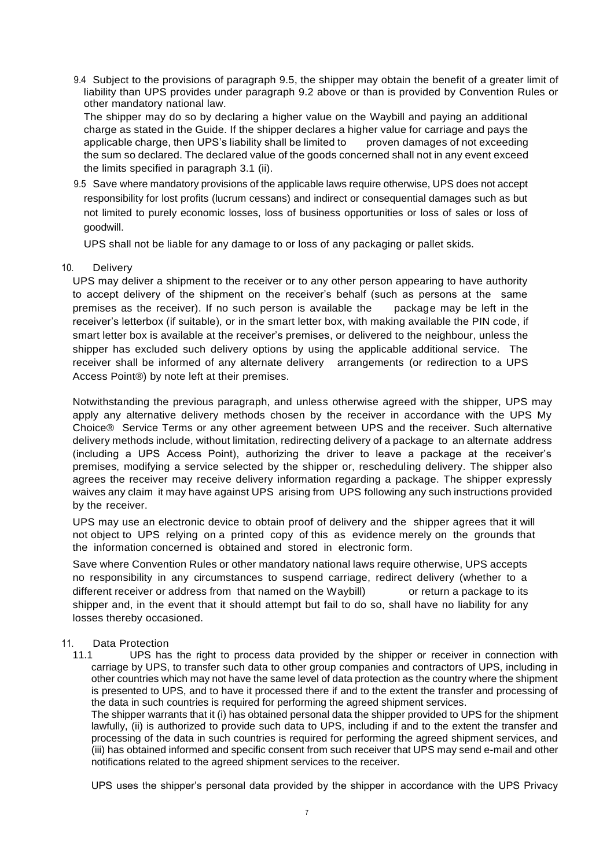9.4 Subject to the provisions of paragraph 9.5, the shipper may obtain the benefit of a greater limit of liability than UPS provides under paragraph 9.2 above or than is provided by Convention Rules or other mandatory national law.

The shipper may do so by declaring a higher value on the Waybill and paying an additional charge as stated in the Guide. If the shipper declares a higher value for carriage and pays the applicable charge, then UPS's liability shall be limited to proven damages of not exceeding the sum so declared. The declared value of the goods concerned shall not in any event exceed the limits specified in paragraph 3.1 (ii).

9.5 Save where mandatory provisions of the applicable laws require otherwise, UPS does not accept responsibility for lost profits (lucrum cessans) and indirect or consequential damages such as but not limited to purely economic losses, loss of business opportunities or loss of sales or loss of goodwill.

UPS shall not be liable for any damage to or loss of any packaging or pallet skids.

10. Delivery

UPS may deliver a shipment to the receiver or to any other person appearing to have authority to accept delivery of the shipment on the receiver's behalf (such as persons at the same premises as the receiver). If no such person is available the package may be left in the receiver's letterbox (if suitable), or in the smart letter box, with making available the PIN code, if smart letter box is available at the receiver's premises, or delivered to the neighbour, unless the shipper has excluded such delivery options by using the applicable additional service. The receiver shall be informed of any alternate delivery arrangements (or redirection to a UPS Access Point®) by note left at their premises.

Notwithstanding the previous paragraph, and unless otherwise agreed with the shipper, UPS may apply any alternative delivery methods chosen by the receiver in accordance with the UPS My Choice® Service Terms or any other agreement between UPS and the receiver. Such alternative delivery methods include, without limitation, redirecting delivery of a package to an alternate address (including a UPS Access Point), authorizing the driver to leave a package at the receiver's premises, modifying a service selected by the shipper or, rescheduling delivery. The shipper also agrees the receiver may receive delivery information regarding a package. The shipper expressly waives any claim it may have against UPS arising from UPS following any such instructions provided by the receiver.

UPS may use an electronic device to obtain proof of delivery and the shipper agrees that it will not object to UPS relying on a printed copy of this as evidence merely on the grounds that the information concerned is obtained and stored in electronic form.

Save where Convention Rules or other mandatory national laws require otherwise, UPS accepts no responsibility in any circumstances to suspend carriage, redirect delivery (whether to a different receiver or address from that named on the Waybill) or return a package to its shipper and, in the event that it should attempt but fail to do so, shall have no liability for any losses thereby occasioned.

# 11. Data Protection

11.1 UPS has the right to process data provided by the shipper or receiver in connection with carriage by UPS, to transfer such data to other group companies and contractors of UPS, including in other countries which may not have the same level of data protection as the country where the shipment is presented to UPS, and to have it processed there if and to the extent the transfer and processing of the data in such countries is required for performing the agreed shipment services.

The shipper warrants that it (i) has obtained personal data the shipper provided to UPS for the shipment lawfully, (ii) is authorized to provide such data to UPS, including if and to the extent the transfer and processing of the data in such countries is required for performing the agreed shipment services, and (iii) has obtained informed and specific consent from such receiver that UPS may send e-mail and other notifications related to the agreed shipment services to the receiver.

UPS uses the shipper's personal data provided by the shipper in accordance with the UPS Privacy